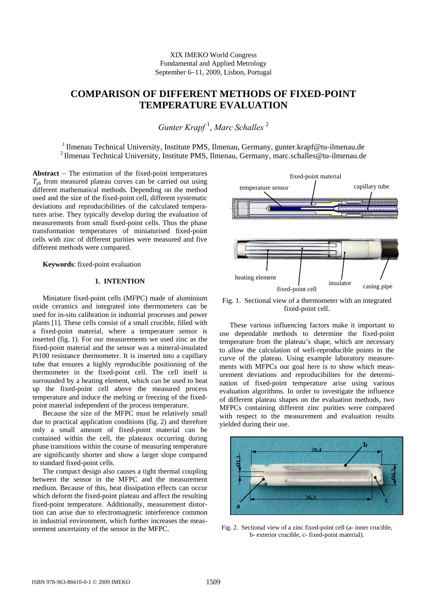# **COMPARISON OF DIFFERENT METHODS OF FIXED-POINT TEMPERATURE EVALUATION**

*Gunter Krapf* <sup>1</sup> , *Marc Schalles* <sup>2</sup>

<sup>1</sup> Ilmenau Technical University, Institute PMS, Ilmenau, Germany, gunter.krapf@tu-ilmenau.de <sup>2</sup> Ilmenau Technical University, Institute PMS, Ilmenau, Germany, marc.schalles@tu-ilmenau.de

**Abstract** − The estimation of the fixed-point temperatures  $T_{ph}$  from measured plateau curves can be carried out using different mathematical methods. Depending on the method used and the size of the fixed-point cell, different systematic deviations and reproducibilities of the calculated temperatures arise. They typically develop during the evaluation of measurements from small fixed-point cells. Thus the phase transformation temperatures of miniaturised fixed-point cells with zinc of different purities were measured and five different methods were compared.

**Keywords**: fixed-point evaluation

# **1. INTENTION**

Miniature fixed-point cells (MFPC) made of aluminium oxide ceramics and integrated into thermometers can be used for in-situ calibration in industrial processes and power plants [1]. These cells consist of a small crucible, filled with a fixed-point material, where a temperature sensor is inserted (fig. 1). For our measurements we used zinc as the fixed-point material and the sensor was a mineral-insulated Pt100 resistance thermometer. It is inserted into a capillary tube that ensures a highly reproducible positioning of the thermometer in the fixed-point cell. The cell itself is surrounded by a heating element, which can be used to heat up the fixed-point cell above the measured process temperature and induce the melting or freezing of the fixedpoint material independent of the process temperature.

Because the size of the MFPC must be relatively small due to practical application conditions (fig. 2) and therefore only a small amount of fixed-point material can be contained within the cell, the plateaux occurring during phase transitions within the course of measuring temperature are significantly shorter and show a larger slope compared to standard fixed-point cells.

The compact design also causes a tight thermal coupling between the sensor in the MFPC and the measurement medium. Because of this, heat dissipation effects can occur which deform the fixed-point plateau and affect the resulting fixed-point temperature. Additionally, measurement distortion can arise due to electromagnetic interference common in industrial environment, which further increases the measurement uncertainty of the sensor in the MFPC.



Fig. 1. Sectional view of a thermometer with an integrated fixed-point cell.

These various influencing factors make it important to use dependable methods to determine the fixed-point temperature from the plateau's shape, which are necessary to allow the calculation of well-reproducible points in the curve of the plateau. Using example laboratory measurements with MFPCs our goal here is to show which measurement deviations and reproducibilites for the determination of fixed-point temperature arise using various evaluation algorithms. In order to investigate the influence of different plateau shapes on the evaluation methods, two MFPCs containing different zinc purities were compared with respect to the measurement and evaluation results yielded during their use.



Fig. 2. Sectional view of a zinc fixed-point cell (a- inner crucible, b- exterior crucible, c- fixed-point material).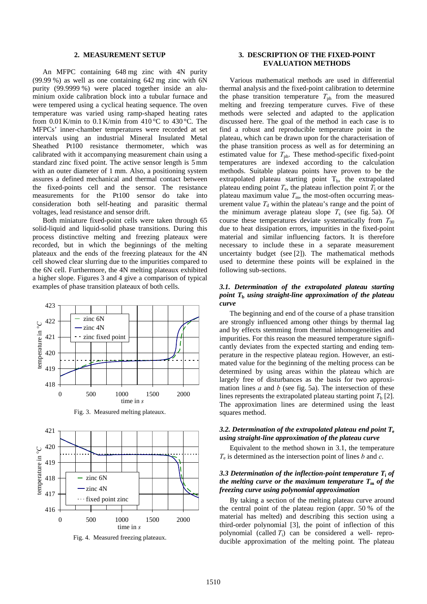#### **2. MEASUREMENT SETUP**

An MFPC containing 648 mg zinc with 4N purity (99.99 %) as well as one containing 642 mg zinc with 6N purity (99.9999 %) were placed together inside an aluminium oxide calibration block into a tubular furnace and were tempered using a cyclical heating sequence. The oven temperature was varied using ramp-shaped heating rates from  $0.01$  K/min to  $0.1$  K/min from  $410$  °C to  $430$  °C. The MFPCs' inner-chamber temperatures were recorded at set intervals using an industrial Mineral Insulated Metal Sheathed Pt100 resistance thermometer, which was calibrated with it accompanying measurement chain using a standard zinc fixed point. The active sensor length is 5mm with an outer diameter of 1 mm. Also, a positioning system assures a defined mechanical and thermal contact between the fixed-points cell and the sensor. The resistance measurements for the Pt100 sensor do take into consideration both self-heating and parasitic thermal voltages, lead resistance and sensor drift.

Both miniature fixed-point cells were taken through 65 solid-liquid and liquid-solid phase transitions. During this process distinctive melting and freezing plateaux were recorded, but in which the beginnings of the melting plateaux and the ends of the freezing plateaux for the 4N cell showed clear slurring due to the impurities compared to the 6N cell. Furthermore, the 4N melting plateaux exhibited a higher slope. Figures 3 and 4 give a comparison of typical examples of phase transition plateaux of both cells.



Fig. 3. Measured melting plateaux.



Fig. 4. Measured freezing plateaux.

# **3. DESCRIPTION OF THE FIXED-POINT EVALUATION METHODS**

Various mathematical methods are used in differential thermal analysis and the fixed-point calibration to determine the phase transition temperature  $T_{ph}$  from the measured melting and freezing temperature curves. Five of these methods were selected and adapted to the application discussed here. The goal of the method in each case is to find a robust and reproducible temperature point in the plateau, which can be drawn upon for the characterisation of the phase transition process as well as for determining an estimated value for  $T_{ph}$ . These method-specific fixed-point temperatures are indexed according to the calculation methods. Suitable plateau points have proven to be the extrapolated plateau starting point  $T<sub>b</sub>$ , the extrapolated plateau ending point  $T_e$ , the plateau inflection point  $T_i$  or the plateau maximum value  $T<sub>m</sub>$ , the most-often occurring measurement value  $T<sub>d</sub>$  within the plateau's range and the point of the minimum average plateau slope  $T<sub>s</sub>$  (see fig. 5a). Of course these temperatures deviate systematically from  $T_{90}$ due to heat dissipation errors, impurities in the fixed-point material and similar influencing factors. It is therefore necessary to include these in a separate measurement uncertainty budget (see [2]). The mathematical methods used to determine these points will be explained in the following sub-sections.

## *3.1. Determination of the extrapolated plateau starting point T***b** *using straight-line approximation of the plateau curve*

The beginning and end of the course of a phase transition are strongly influenced among other things by thermal lag and by effects stemming from thermal inhomogeneities and impurities. For this reason the measured temperature significantly deviates from the expected starting and ending temperature in the respective plateau region. However, an estimated value for the beginning of the melting process can be determined by using areas within the plateau which are largely free of disturbances as the basis for two approximation lines *a* and *b* (see fig. 5a). The intersection of these lines represents the extrapolated plateau starting point  $T<sub>b</sub>$  [2]. The approximation lines are determined using the least squares method.

#### *3.2. Determination of the extrapolated plateau end point T***<sup>e</sup>** *using straight-line approximation of the plateau curve*

Equivalent to the method shown in 3.1, the temperature *T*e is determined as the intersection point of lines *b* and *c*.

## *3.3 Determination of the inflection-point temperature T***i** *of the melting curve or the maximum temperature T***m** *of the freezing curve using polynomial approximation*

By taking a section of the melting plateau curve around the central point of the plateau region (appr. 50 % of the material has melted) and describing this section using a third-order polynomial [3], the point of inflection of this polynomial (called  $T_i$ ) can be considered a well- reproducible approximation of the melting point. The plateau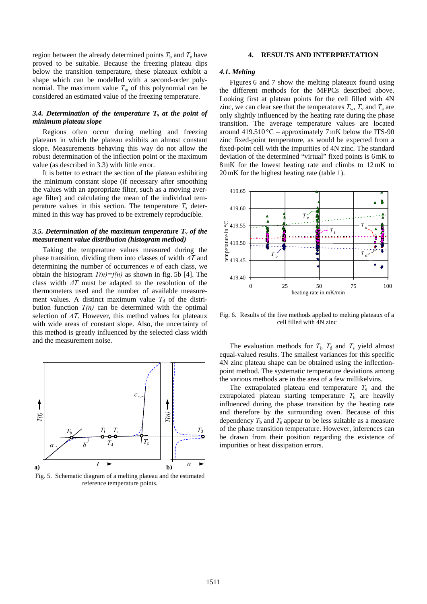region between the already determined points  $T<sub>b</sub>$  and  $T<sub>e</sub>$  have proved to be suitable. Because the freezing plateau dips below the transition temperature, these plateaux exhibit a shape which can be modelled with a second-order polynomial. The maximum value  $T<sub>m</sub>$  of this polynomial can be considered an estimated value of the freezing temperature.

#### *3.4. Determination of the temperature T***s** *at the point of minimum plateau slope*

Regions often occur during melting and freezing plateaux in which the plateau exhibits an almost constant slope. Measurements behaving this way do not allow the robust determination of the inflection point or the maximum value (as described in 3.3) with little error.

It is better to extract the section of the plateau exhibiting the minimum constant slope (if necessary after smoothing the values with an appropriate filter, such as a moving average filter) and calculating the mean of the individual temperature values in this section. The temperature  $T<sub>s</sub>$  determined in this way has proved to be extremely reproducible.

# *3.5. Determination of the maximum temperature*  $T$ *<sup><i>v*</sup> *of the measurement value distribution (histogram method)*

Taking the temperature values measured during the phase transition, dividing them into classes of width *ΔT* and determining the number of occurrences *n* of each class, we obtain the histogram  $T(n)=f(n)$  as shown in fig. 5b [4]. The class width *ΔT* must be adapted to the resolution of the thermometers used and the number of available measurement values. A distinct maximum value  $T<sub>d</sub>$  of the distribution function  $T(n)$  can be determined with the optimal selection of *ΔT*. However, this method values for plateaux with wide areas of constant slope. Also, the uncertainty of this method is greatly influenced by the selected class width and the measurement noise.



Fig. 5. Schematic diagram of a melting plateau and the estimated reference temperature points.

#### **4. RESULTS AND INTERPRETATION**

#### *4.1. Melting*

Figures 6 and 7 show the melting plateaux found using the different methods for the MFPCs described above. Looking first at plateau points for the cell filled with 4N zinc, we can clear see that the temperatures  $T_w$ ,  $T_v$  and  $T_a$  are only slightly influenced by the heating rate during the phase transition. The average temperature values are located around 419.510 °C – approximately 7 mK below the ITS-90 zinc fixed-point temperature, as would be expected from a fixed-point cell with the impurities of 4N zinc. The standard deviation of the determined "virtual" fixed points is 6mK to 8mK for the lowest heating rate and climbs to 12mK to 20mK for the highest heating rate (table 1).



Fig. 6. Results of the five methods applied to melting plateaux of a cell filled with 4N zinc

The evaluation methods for  $T_i$ ,  $T_d$  and  $T_s$  yield almost equal-valued results. The smallest variances for this specific 4N zinc plateau shape can be obtained using the inflectionpoint method. The systematic temperature deviations among the various methods are in the area of a few millikelvins.

The extrapolated plateau end temperature  $T_e$  and the extrapolated plateau starting temperature  $T<sub>b</sub>$  are heavily influenced during the phase transition by the heating rate and therefore by the surrounding oven. Because of this dependency  $T<sub>b</sub>$  and  $T<sub>e</sub>$  appear to be less suitable as a measure of the phase transition temperature. However, inferences can be drawn from their position regarding the existence of impurities or heat dissipation errors.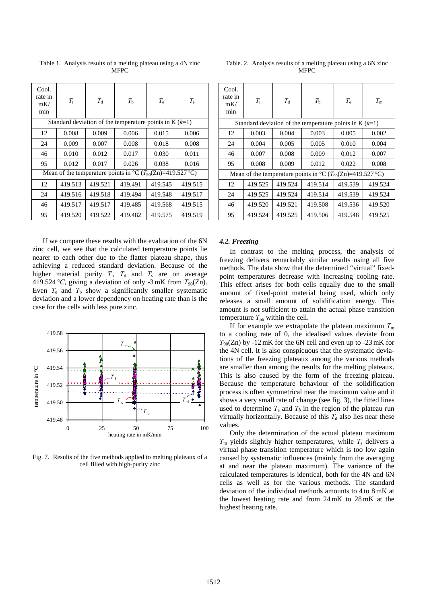| Cool.<br>rate in<br>mK/<br>min                                              | $T_{\rm i}$ | $T_{\rm d}$ | $T_{\rm h}$ | $T_{\rm e}$ | $T_{\rm s}$ |  |  |  |
|-----------------------------------------------------------------------------|-------------|-------------|-------------|-------------|-------------|--|--|--|
| Standard deviation of the temperature points in K $(k=1)$                   |             |             |             |             |             |  |  |  |
| 12                                                                          | 0.008       | 0.009       | 0.006       | 0.015       | 0.006       |  |  |  |
| 24                                                                          | 0.009       | 0.007       | 0.008       | 0.018       | 0.008       |  |  |  |
| 46                                                                          | 0.010       | 0.012       | 0.017       | 0.030       | 0.011       |  |  |  |
| 95                                                                          | 0.012       | 0.017       | 0.026       | 0.038       | 0.016       |  |  |  |
| Mean of the temperature points in $^{\circ}C(T_{90}(Zn)=419.527 \degree C)$ |             |             |             |             |             |  |  |  |
| 12                                                                          | 419.513     | 419.521     | 419.491     | 419.545     | 419.515     |  |  |  |
| 24                                                                          | 419.516     | 419.518     | 419.494     | 419.548     | 419.517     |  |  |  |
| 46                                                                          | 419.517     | 419.517     | 419.485     | 419.568     | 419.515     |  |  |  |
| 95                                                                          | 419.520     | 419.522     | 419.482     | 419.575     | 419.519     |  |  |  |

Table 1. Analysis results of a melting plateau using a 4N zinc **MFPC** 

If we compare these results with the evaluation of the 6N zinc cell, we see that the calculated temperature points lie nearer to each other due to the flatter plateau shape, thus achieving a reduced standard deviation. Because of the higher material purity  $T_i$ ,  $T_d$  and  $T_s$  are on average 419.524 °C, giving a deviation of only -3 mK from  $T_{90}(Zn)$ . Even  $T_e$  and  $T_b$  show a significantly smaller systematic deviation and a lower dependency on heating rate than is the case for the cells with less pure zinc.



Fig. 7. Results of the five methods applied to melting plateaux of a cell filled with high-purity zinc

| Table. 2. Analysis results of a melting plateau using a 6N zinc |  |
|-----------------------------------------------------------------|--|
| <b>MFPC</b>                                                     |  |

| Cool.<br>rate in<br>mK/<br>min                                                  | $T_{\rm i}$ | $T_{\rm d}$ | $T_{\rm b}$ | $T_{\rm e}$ | $T_{\rm m}$ |  |  |  |
|---------------------------------------------------------------------------------|-------------|-------------|-------------|-------------|-------------|--|--|--|
| Standard deviation of the temperature points in K $(k=1)$                       |             |             |             |             |             |  |  |  |
| 12                                                                              | 0.003       | 0.004       | 0.003       | 0.005       | 0.002       |  |  |  |
| 24                                                                              | 0.004       | 0.005       | 0.005       | 0.010       | 0.004       |  |  |  |
| 46                                                                              | 0.007       | 0.008       | 0.009       | 0.012       | 0.007       |  |  |  |
| 95                                                                              | 0.008       | 0.009       | 0.012       | 0.022       | 0.008       |  |  |  |
| Mean of the temperature points in ${}^{\circ}C(T_{90}(Zn)=419.527 {}^{\circ}C)$ |             |             |             |             |             |  |  |  |
| 12                                                                              | 419.525     | 419.524     | 419.514     | 419.539     | 419.524     |  |  |  |
| 24                                                                              | 419.525     | 419.524     | 419.514     | 419.539     | 419.524     |  |  |  |
| 46                                                                              | 419.520     | 419.521     | 419.508     | 419.536     | 419.520     |  |  |  |
| 95                                                                              | 419.524     | 419.525     | 419.506     | 419.548     | 419.525     |  |  |  |

#### *4.2. Freezing*

In contrast to the melting process, the analysis of freezing delivers remarkably similar results using all five methods. The data show that the determined "virtual" fixedpoint temperatures decrease with increasing cooling rate. This effect arises for both cells equally due to the small amount of fixed-point material being used, which only releases a small amount of solidification energy. This amount is not sufficient to attain the actual phase transition temperature  $T_{ph}$  within the cell.

If for example we extrapolate the plateau maximum  $T<sub>m</sub>$ to a cooling rate of 0, the idealised values deviate from  $T_{90}(Zn)$  by -12 mK for the 6N cell and even up to -23 mK for the 4N cell. It is also conspicuous that the systematic deviations of the freezing plateaux among the various methods are smaller than among the results for the melting plateaux. This is also caused by the form of the freezing plateau. Because the temperature behaviour of the solidification process is often symmetrical near the maximum value and it shows a very small rate of change (see fig. 3), the fitted lines used to determine  $T_e$  and  $T_b$  in the region of the plateau run virtually horizontally. Because of this  $T<sub>d</sub>$  also lies near these values.

Only the determination of the actual plateau maximum  $T<sub>m</sub>$  yields slightly higher temperatures, while  $T<sub>s</sub>$  delivers a virtual phase transition temperature which is too low again caused by systematic influences (mainly from the averaging at and near the plateau maximum). The variance of the calculated temperatures is identical, both for the 4N and 6N cells as well as for the various methods. The standard deviation of the individual methods amounts to 4 to 8mK at the lowest heating rate and from 24mK to 28mK at the highest heating rate.